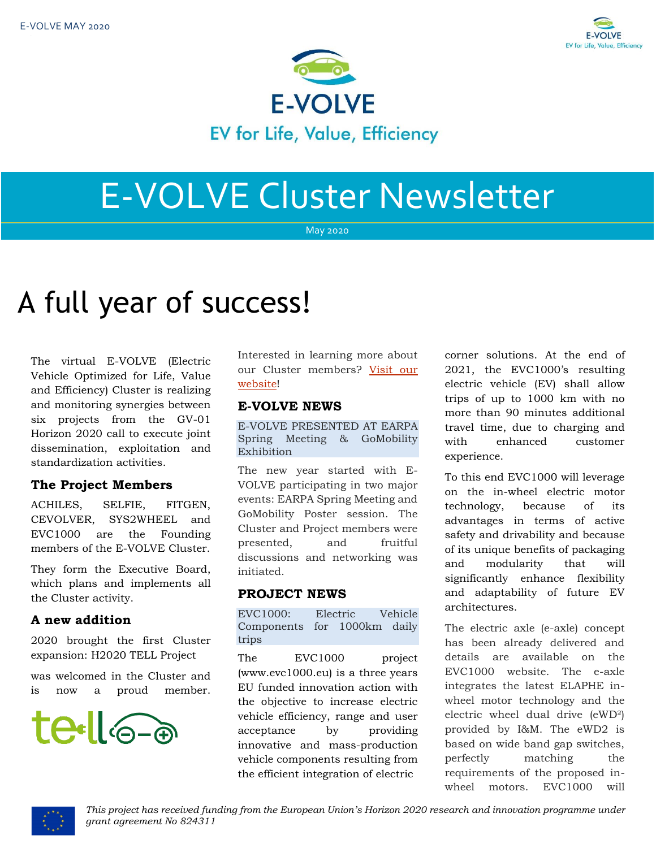



# E-VOLVE Cluster Newsletter

May 2020

## A full year of success!

The virtual E-VOLVE (Electric Vehicle Optimized for Life, Value and Efficiency) Cluster is realizing and monitoring synergies between six projects from the GV-01 Horizon 2020 call to execute joint dissemination, exploitation and standardization activities.

## **The Project Members**

ACHILES, SELFIE, FITGEN, CEVOLVER, SYS2WHEEL and EVC1000 are the Founding members of the E-VOLVE Cluster.

They form the Executive Board, which plans and implements all the Cluster activity.

## **A new addition**

2020 brought the first Cluster expansion: H2020 TELL Project

was welcomed in the Cluster and is now a proud member.



Interested in learning more about our Cluster members? [Visit our](https://www.h2020-evolvecluster.eu/project-members)  [website!](https://www.h2020-evolvecluster.eu/project-members)

## **E-VOLVE NEWS**

E-VOLVE PRESENTED AT EARPA Spring Meeting & GoMobility Exhibition

The new year started with E-VOLVE participating in two major events: EARPA Spring Meeting and GoMobility Poster session. The Cluster and Project members were presented, and fruitful discussions and networking was initiated.

## **PROJECT NEWS**

EVC1000: Electric Vehicle Components for 1000km daily trips

The EVC1000 project (www.evc1000.eu) is a three years EU funded innovation action with the objective to increase electric vehicle efficiency, range and user acceptance by providing innovative and mass-production vehicle components resulting from the efficient integration of electric

corner solutions. At the end of 2021, the EVC1000's resulting electric vehicle (EV) shall allow trips of up to 1000 km with no more than 90 minutes additional travel time, due to charging and with enhanced customer experience.

To this end EVC1000 will leverage on the in-wheel electric motor technology, because of its advantages in terms of active safety and drivability and because of its unique benefits of packaging and modularity that will significantly enhance flexibility and adaptability of future EV architectures.

The electric axle (e-axle) concept has been already delivered and details are available on the EVC1000 website. The e-axle integrates the latest ELAPHE inwheel motor technology and the electric wheel dual drive (eWD²) provided by I&M. The eWD2 is based on wide band gap switches, perfectly matching the requirements of the proposed inwheel motors. EVC1000 will

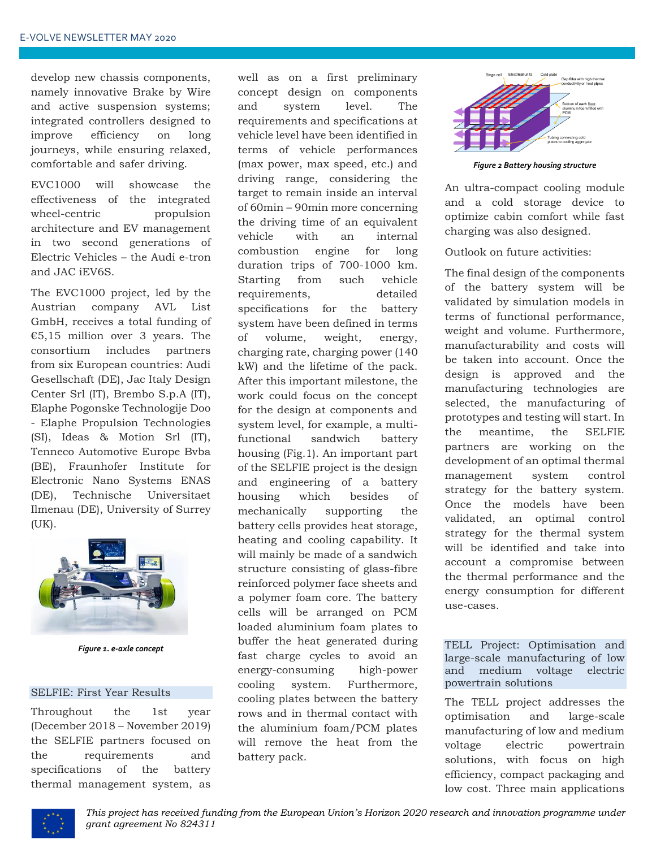develop new chassis components, namely innovative Brake by Wire and active suspension systems; integrated controllers designed to improve efficiency on long journeys, while ensuring relaxed, comfortable and safer driving.

EVC1000 will showcase the effectiveness of the integrated wheel-centric propulsion architecture and EV management in two second generations of Electric Vehicles – the Audi e-tron and JAC iEV6S.

The EVC1000 project, led by the Austrian company AVL List GmbH, receives a total funding of €5,15 million over 3 years. The consortium includes partners from six European countries: Audi Gesellschaft (DE), Jac Italy Design Center Srl (IT), Brembo S.p.A (IT), Elaphe Pogonske Technologije Doo - Elaphe Propulsion Technologies (SI), Ideas & Motion Srl (IT), Tenneco Automotive Europe Bvba (BE), Fraunhofer Institute for Electronic Nano Systems ENAS (DE), Technische Universitaet Ilmenau (DE), University of Surrey (UK).



*Figure 1. e-axle concept*

#### SELFIE: First Year Results

Throughout the 1st year (December 2018 – November 2019) the SELFIE partners focused on the requirements and specifications of the battery thermal management system, as well as on a first preliminary concept design on components and system level. The requirements and specifications at vehicle level have been identified in terms of vehicle performances (max power, max speed, etc.) and driving range, considering the target to remain inside an interval of 60min – 90min more concerning the driving time of an equivalent vehicle with an internal combustion engine for long duration trips of 700-1000 km. Starting from such vehicle requirements, detailed specifications for the battery system have been defined in terms of volume, weight, energy, charging rate, charging power (140 kW) and the lifetime of the pack. After this important milestone, the work could focus on the concept for the design at components and system level, for example, a multifunctional sandwich battery housing (Fig.1). An important part of the SELFIE project is the design and engineering of a battery housing which besides of mechanically supporting the battery cells provides heat storage, heating and cooling capability. It will mainly be made of a sandwich structure consisting of glass-fibre reinforced polymer face sheets and a polymer foam core. The battery cells will be arranged on PCM loaded aluminium foam plates to buffer the heat generated during fast charge cycles to avoid an energy-consuming high-power cooling system. Furthermore, cooling plates between the battery rows and in thermal contact with the aluminium foam/PCM plates will remove the heat from the battery pack.



*Figure 2 Battery housing structure*

An ultra-compact cooling module and a cold storage device to optimize cabin comfort while fast charging was also designed.

Outlook on future activities:

The final design of the components of the battery system will be validated by simulation models in terms of functional performance, weight and volume. Furthermore, manufacturability and costs will be taken into account. Once the design is approved and the manufacturing technologies are selected, the manufacturing of prototypes and testing will start. In the meantime, the SELFIE partners are working on the development of an optimal thermal management system control strategy for the battery system. Once the models have been validated, an optimal control strategy for the thermal system will be identified and take into account a compromise between the thermal performance and the energy consumption for different use-cases.

#### TELL Project: Optimisation and large-scale manufacturing of low and medium voltage electric powertrain solutions

The TELL project addresses the optimisation and large-scale manufacturing of low and medium voltage electric powertrain solutions, with focus on high efficiency, compact packaging and low cost. Three main applications

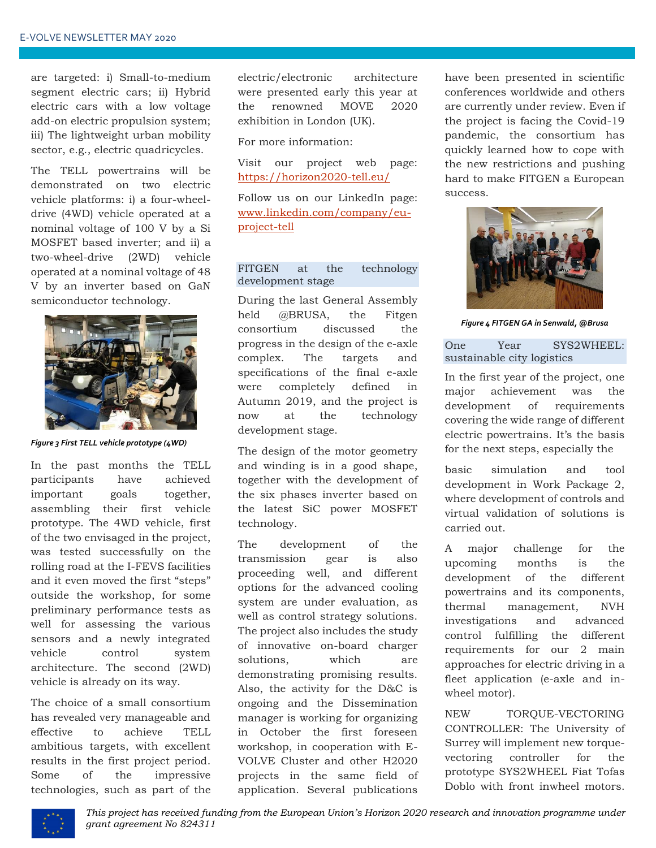are targeted: i) Small-to-medium segment electric cars; ii) Hybrid electric cars with a low voltage add-on electric propulsion system; iii) The lightweight urban mobility sector, e.g., electric quadricycles.

The TELL powertrains will be demonstrated on two electric vehicle platforms: i) a four-wheeldrive (4WD) vehicle operated at a nominal voltage of 100 V by a Si MOSFET based inverter; and ii) a two-wheel-drive (2WD) vehicle operated at a nominal voltage of 48 V by an inverter based on GaN semiconductor technology.



*Figure 3 First TELL vehicle prototype (4WD)*

In the past months the TELL participants have achieved important goals together, assembling their first vehicle prototype. The 4WD vehicle, first of the two envisaged in the project, was tested successfully on the rolling road at the I-FEVS facilities and it even moved the first "steps" outside the workshop, for some preliminary performance tests as well for assessing the various sensors and a newly integrated vehicle control system architecture. The second (2WD) vehicle is already on its way.

The choice of a small consortium has revealed very manageable and effective to achieve TELL ambitious targets, with excellent results in the first project period. Some of the impressive technologies, such as part of the electric/electronic architecture were presented early this year at the renowned MOVE 2020 exhibition in London (UK).

For more information:

Visit our project web page: <https://horizon2020-tell.eu/>

Follow us on our LinkedIn page: [www.linkedin.com/company/eu](http://www.linkedin.com/company/eu-project-tell)[project-tell](http://www.linkedin.com/company/eu-project-tell)

#### FITGEN at the technology development stage

During the last General Assembly held @BRUSA, the Fitgen consortium discussed the progress in the design of the e-axle complex. The targets and specifications of the final e-axle were completely defined in Autumn 2019, and the project is now at the technology development stage.

The design of the motor geometry and winding is in a good shape, together with the development of the six phases inverter based on the latest SiC power MOSFET technology.

The development of the transmission gear is also proceeding well, and different options for the advanced cooling system are under evaluation, as well as control strategy solutions. The project also includes the study of innovative on-board charger solutions which are demonstrating promising results. Also, the activity for the D&C is ongoing and the Dissemination manager is working for organizing in October the first foreseen workshop, in cooperation with E-VOLVE Cluster and other H2020 projects in the same field of application. Several publications

have been presented in scientific conferences worldwide and others are currently under review. Even if the project is facing the Covid-19 pandemic, the consortium has quickly learned how to cope with the new restrictions and pushing hard to make FITGEN a European success.



*Figure 4 FITGEN GA in Senwald, @Brusa*

#### One Year SYS2WHEEL: sustainable city logistics

In the first year of the project, one major achievement was the development of requirements covering the wide range of different electric powertrains. It's the basis for the next steps, especially the

basic simulation and tool development in Work Package 2, where development of controls and virtual validation of solutions is carried out.

A major challenge for the upcoming months is the development of the different powertrains and its components, thermal management, NVH investigations and advanced control fulfilling the different requirements for our 2 main approaches for electric driving in a fleet application (e-axle and inwheel motor).

NEW TORQUE-VECTORING CONTROLLER: The University of Surrey will implement new torquevectoring controller for the prototype SYS2WHEEL Fiat Tofas Doblo with front inwheel motors.

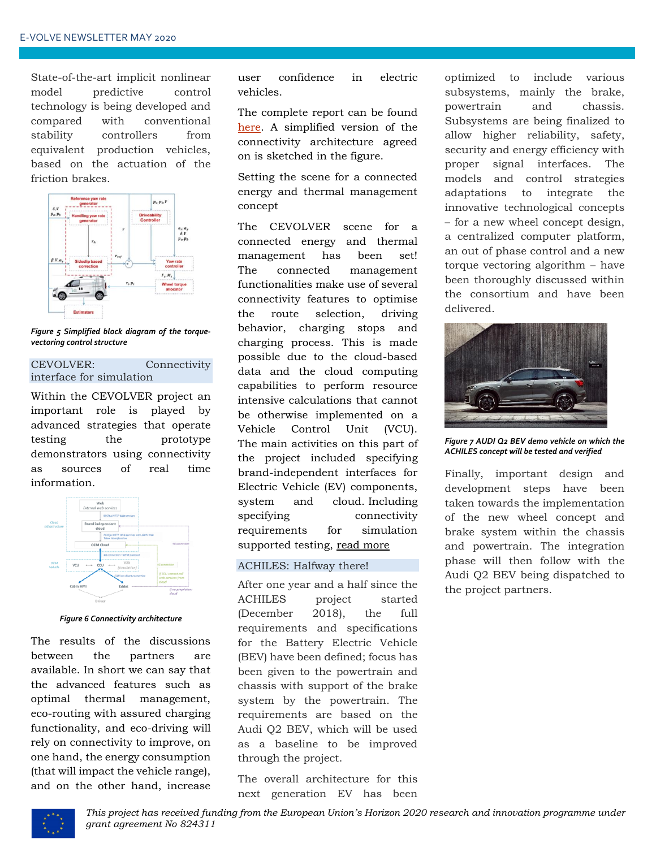State-of-the-art implicit nonlinear model predictive control technology is being developed and compared with conventional stability controllers from equivalent production vehicles, based on the actuation of the friction brakes.



*Figure 5 Simplified block diagram of the torquevectoring control structure*

#### CEVOLVER: Connectivity interface for simulation

Within the CEVOLVER project an important role is played by advanced strategies that operate testing the prototype demonstrators using connectivity as sources of real time information.



*Figure 6 Connectivity architecture*

The results of the discussions between the partners are available. In short we can say that the advanced features such as optimal thermal management, eco-routing with assured charging functionality, and eco-driving will rely on connectivity to improve, on one hand, the energy consumption (that will impact the vehicle range), and on the other hand, increase user confidence in electric vehicles.

The complete report can be found [here.](https://cevolver.eu/wp-content/uploads/2019/04/CEVOLVER_D1.1_Report-on-specification-of-brand-independent-E-E-interfaces-communication-protocols-interactions-of-VCU-and-cloud_PU.pdf) A simplified version of the connectivity architecture agreed on is sketched in the figure.

Setting the scene for a connected energy and thermal management concept

The CEVOLVER scene for a connected energy and thermal management has been set! The connected management functionalities make use of several connectivity features to optimise the route selection, driving behavior, charging stops and charging process. This is made possible due to the cloud-based data and the cloud computing capabilities to perform resource intensive calculations that cannot be otherwise implemented on a Vehicle Control Unit (VCU). The main activities on this part of the project included specifying brand-independent interfaces for Electric Vehicle (EV) components, system and cloud. Including specifying connectivity requirements for simulation supported testing, [read more](https://cevolver.eu/setting-the-scene-for-a-connected-energy-and-thermal-management-concept-by-mark-engelen-fev/?utm_source=Laposta&utm_campaign=CEVOLVER+Newsletter&utm_medium=email)

#### ACHILES: Halfway there!

After one year and a half since the ACHILES project started (December 2018), the full requirements and specifications for the Battery Electric Vehicle (BEV) have been defined; focus has been given to the powertrain and chassis with support of the brake system by the powertrain. The requirements are based on the Audi Q2 BEV, which will be used as a baseline to be improved through the project.

The overall architecture for this next generation EV has been

optimized to include various subsystems, mainly the brake, powertrain and chassis. Subsystems are being finalized to allow higher reliability, safety, security and energy efficiency with proper signal interfaces. The models and control strategies adaptations to integrate the innovative technological concepts – for a new wheel concept design, a centralized computer platform, an out of phase control and a new torque vectoring algorithm – have been thoroughly discussed within the consortium and have been delivered.



*Figure 7 AUDI Q2 BEV demo vehicle on which the ACHILES concept will be tested and verified*

Finally, important design and development steps have been taken towards the implementation of the new wheel concept and brake system within the chassis and powertrain. The integration phase will then follow with the Audi Q2 BEV being dispatched to the project partners.